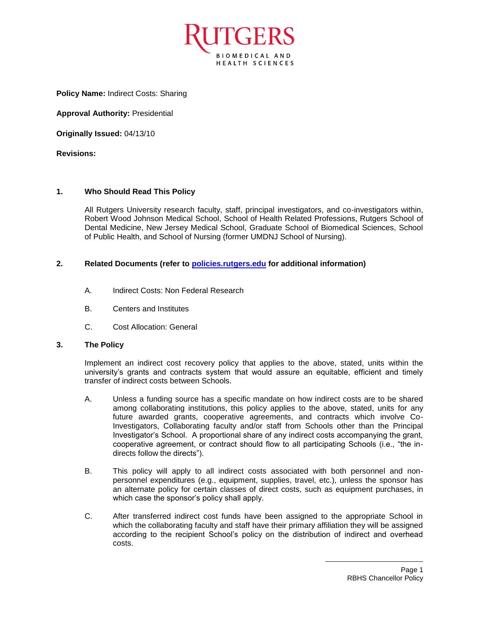

**Policy Name:** Indirect Costs: Sharing

**Approval Authority:** Presidential

**Originally Issued:** 04/13/10

**Revisions:**

## **1. Who Should Read This Policy**

All Rutgers University research faculty, staff, principal investigators, and co-investigators within, Robert Wood Johnson Medical School, School of Health Related Professions, Rutgers School of Dental Medicine, New Jersey Medical School, Graduate School of Biomedical Sciences, School of Public Health, and School of Nursing (former UMDNJ School of Nursing).

## **2. Related Documents (refer to [policies.rutgers.edu](file:///C:/Users/rsedlackpr001/Documents/Rutgers/Policies/RBHS%20Policies/policies.rutgers.edu) for additional information)**

- A. Indirect Costs: Non Federal Research
- B. Centers and Institutes
- C. Cost Allocation: General

## **3. The Policy**

Implement an indirect cost recovery policy that applies to the above, stated, units within the university's grants and contracts system that would assure an equitable, efficient and timely transfer of indirect costs between Schools.

- A. Unless a funding source has a specific mandate on how indirect costs are to be shared among collaborating institutions, this policy applies to the above, stated, units for any future awarded grants, cooperative agreements, and contracts which involve Co-Investigators, Collaborating faculty and/or staff from Schools other than the Principal Investigator's School. A proportional share of any indirect costs accompanying the grant, cooperative agreement, or contract should flow to all participating Schools (i.e., "the indirects follow the directs").
- B. This policy will apply to all indirect costs associated with both personnel and nonpersonnel expenditures (e.g., equipment, supplies, travel, etc.), unless the sponsor has an alternate policy for certain classes of direct costs, such as equipment purchases, in which case the sponsor's policy shall apply.
- C. After transferred indirect cost funds have been assigned to the appropriate School in which the collaborating faculty and staff have their primary affiliation they will be assigned according to the recipient School's policy on the distribution of indirect and overhead costs.